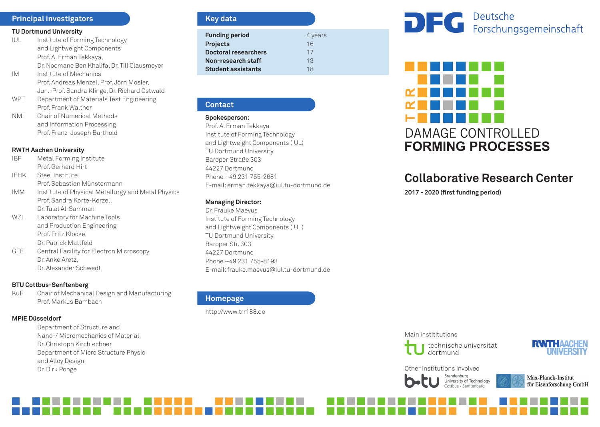# **Principal investigators**

#### **TU Dortmund University**

- IUL Institute of Forming Technology and Lightweight Components Prof. A. Erman Tekkaya, Dr. Noomane Ben Khalifa, Dr. Till Clausmeyer
- IM Institute of Mechanics Prof. Andreas Menzel, Prof. Jörn Mosler, Jun.-Prof. Sandra Klinge, Dr. Richard Ostwald
- WPT Department of Materials Test Engineering Prof. Frank Walther
- NMI Chair of Numerical Methods and Information Processing Prof. Franz-Joseph Barthold

#### **RWTH Aachen University**

- IBF Metal Forming Institute Prof. Gerhard Hirt
- IEHK Steel Institute Prof. Sebastian Münstermann
- IMM Institute of Physical Metallurgy and Metal Physics Prof. Sandra Korte-Kerzel, Dr. Talal Al-Samman
- WZL Laboratory for Machine Tools and Production Engineering Prof. Fritz Klocke, Dr. Patrick Mattfeld
- GFE Central Facility for Electron Microscopy Dr. Anke Aretz, Dr. Alexander Schwedt

# **BTU Cottbus-Senftenberg**

KuF Chair of Mechanical Design and Manufacturing Prof. Markus Bambach

# **MPIE Düsseldorf**

Department of Structure and Nano-/ Micromechanics of Material Dr. Christoph Kirchlechner Department of Micro Structure Physic and Alloy Design Dr. Dirk Ponge

# **Key data**

| <b>Funding period</b>     | 4 years |
|---------------------------|---------|
| <b>Projects</b>           | 16      |
| Doctoral researchers      | 17      |
| Non-research staff        | 13      |
| <b>Student assistants</b> | 18      |

#### **Contact**

#### **Spokesperson:**

Prof. A. Erman Tekkaya Institute of Forming Technology and Lightweight Components (IUL) TU Dortmund University Baroper Straße 303 44227 Dortmund Phone +49 231 755-2681 E-mail: erman.tekkaya@iul.tu-dortmund.de

#### **Managing Director:**

Dr. Frauke Maevus Institute of Forming Technology and Lightweight Components (IUL) TU Dortmund University Baroper Str. 303 44227 Dortmund Phone +49 231 755-8193 E-mail: frauke.maevus@iul.tu-dortmund.de

# **Homepage**

http://www.trr188.de

# DEC Deutsche<br>
Forschungsgemeinschaft



# **Collaborative Research Center**

**2017 - 2020 (first funding period)**

#### Main instititutions





# Other institutions involved

Brandenburg University of Technology

Max-Planck-Institut für Eisenforschung GmbH